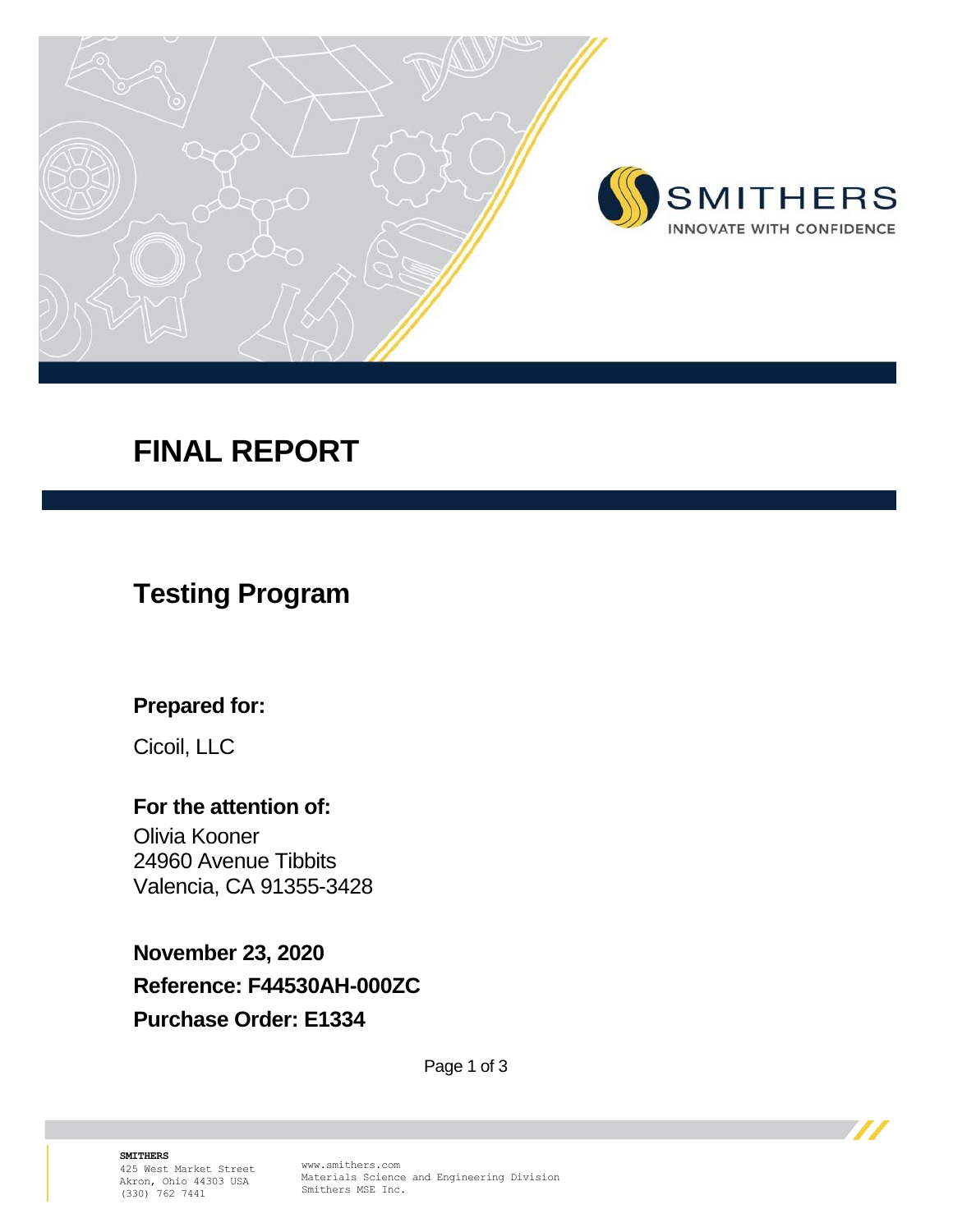

# **FINAL REPORT**

## **Testing Program**

### **Prepared for:**

Cicoil, LLC

### **For the attention of:**

Olivia Kooner 24960 Avenue Tibbits Valencia, CA 91355-3428

**November 23, 2020 Reference: F44530AH-000ZC Purchase Order: E1334**

Page 1 of 3

**SMITHERS**  425 West Market Street Akron, Ohio 44303 USA (330) 762 7441

www.smithers.com Materials Science and Engineering Division Smithers MSE Inc.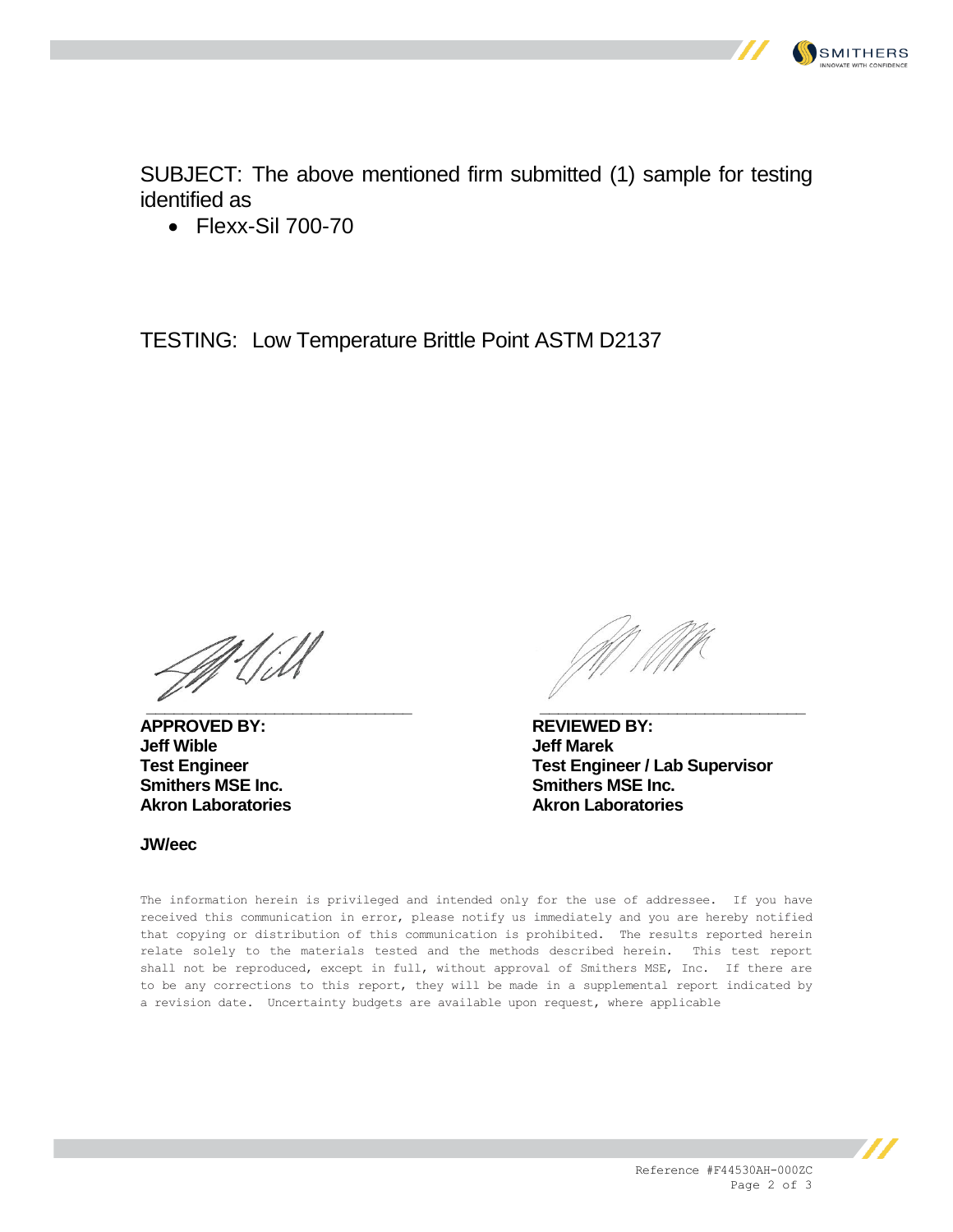

SUBJECT: The above mentioned firm submitted (1) sample for testing identified as

• Flexx-Sil 700-70

TESTING: Low Temperature Brittle Point ASTM D2137

Mill **\_\_\_\_\_\_\_\_\_\_\_\_\_\_\_\_\_\_\_\_\_\_\_\_\_\_\_\_\_ \_\_\_\_\_\_\_\_\_\_\_\_\_\_\_\_\_\_\_\_\_\_\_\_\_\_\_\_\_**

**APPROVED BY: REVIEWED BY: Smithers MSE Inc. Smithers MSE Inc.**

**Jeff Marek Test Engineer Test Engineer / Lab Supervisor Akron Laboratories Akron Laboratories**

**JW/eec**

The information herein is privileged and intended only for the use of addressee. If you have received this communication in error, please notify us immediately and you are hereby notified that copying or distribution of this communication is prohibited. The results reported herein relate solely to the materials tested and the methods described herein. This test report shall not be reproduced, except in full, without approval of Smithers MSE, Inc. If there are to be any corrections to this report, they will be made in a supplemental report indicated by a revision date. Uncertainty budgets are available upon request, where applicable